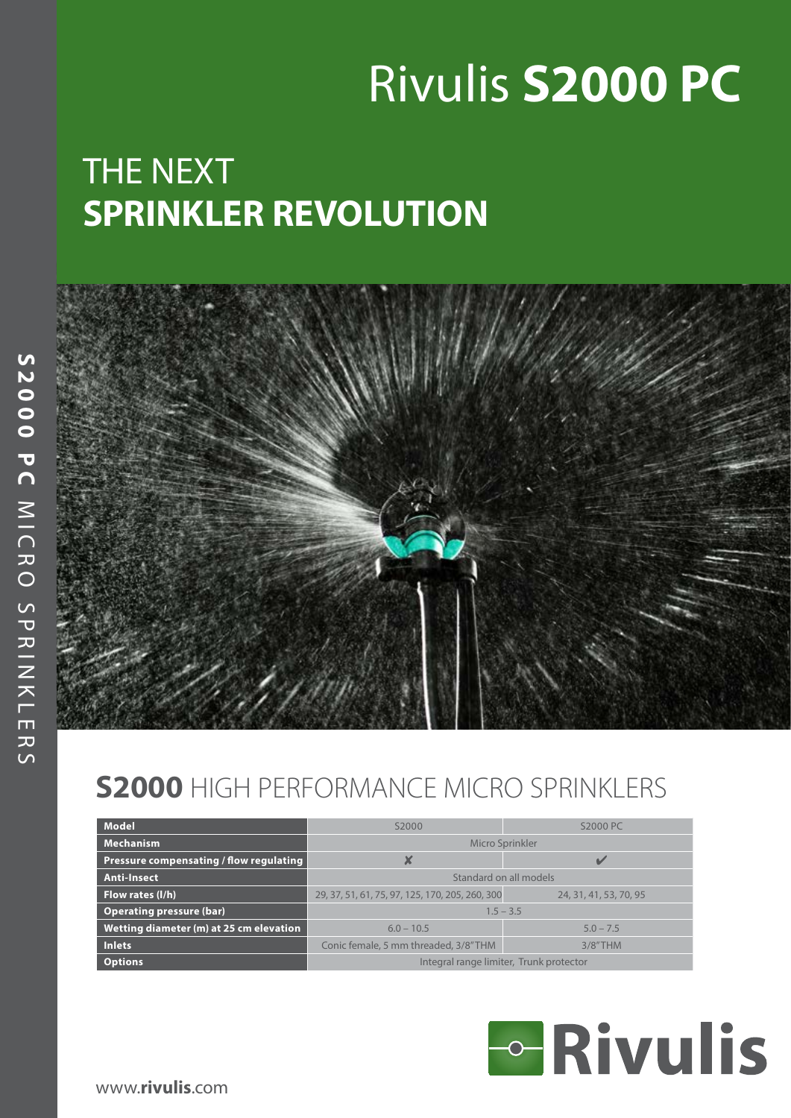# Rivulis **S2000 PC**

## THE NEXT **SPRINKLER REVOLUTION**



### **S2000** HIGH PERFORMANCE MICRO SPRINKLERS

| <b>Model</b>                            | S2000                                           | S2000 PC               |  |  |  |  |
|-----------------------------------------|-------------------------------------------------|------------------------|--|--|--|--|
| <b>Mechanism</b>                        | Micro Sprinkler                                 |                        |  |  |  |  |
| Pressure compensating / flow regulating |                                                 |                        |  |  |  |  |
| Anti-Insect                             | Standard on all models                          |                        |  |  |  |  |
| Flow rates (I/h)                        | 29, 37, 51, 61, 75, 97, 125, 170, 205, 260, 300 | 24, 31, 41, 53, 70, 95 |  |  |  |  |
| <b>Operating pressure (bar)</b>         | $1.5 - 3.5$                                     |                        |  |  |  |  |
| Wetting diameter (m) at 25 cm elevation | $6.0 - 10.5$                                    | $5.0 - 7.5$            |  |  |  |  |
| <b>Inlets</b>                           | Conic female, 5 mm threaded, 3/8"THM            | $3/8"$ THM             |  |  |  |  |
| <b>Options</b>                          | Integral range limiter, Trunk protector         |                        |  |  |  |  |

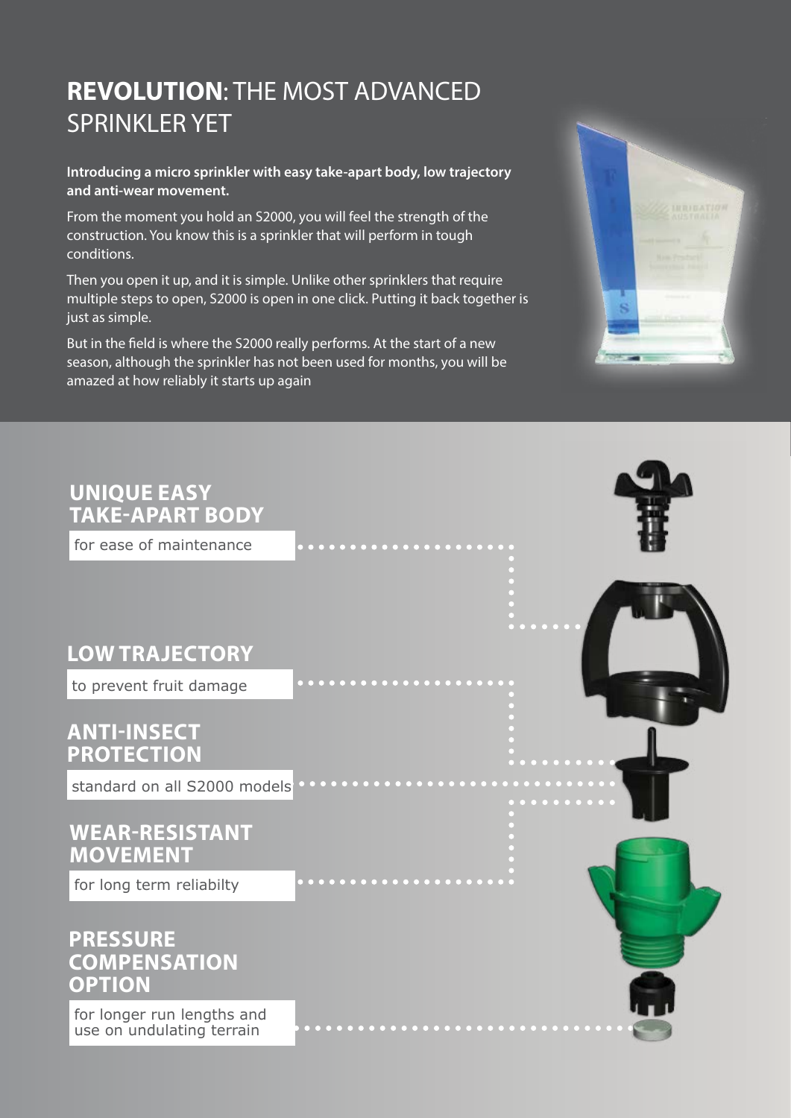#### **REVOLUTION**: THE MOST ADVANCED SPRINKLER YET

**Introducing a micro sprinkler with easy take-apart body, low trajectory and anti-wear movement.**

From the moment you hold an S2000, you will feel the strength of the construction. You know this is a sprinkler that will perform in tough conditions.

Then you open it up, and it is simple. Unlike other sprinklers that require multiple steps to open, S2000 is open in one click. Putting it back together is just as simple.

But in the field is where the S2000 really performs. At the start of a new season, although the sprinkler has not been used for months, you will be amazed at how reliably it starts up again



## for ease of maintenance to prevent fruit damage standard on all S2000 models **UNIQUE EASY TAKE-APART BODY LOW TrAJECTORY anti-INSECT protection Wear-resistant movement PRESSURE COMPENSATION OPTION** for long term reliabilty

for longer run lengths and use on undulating terrain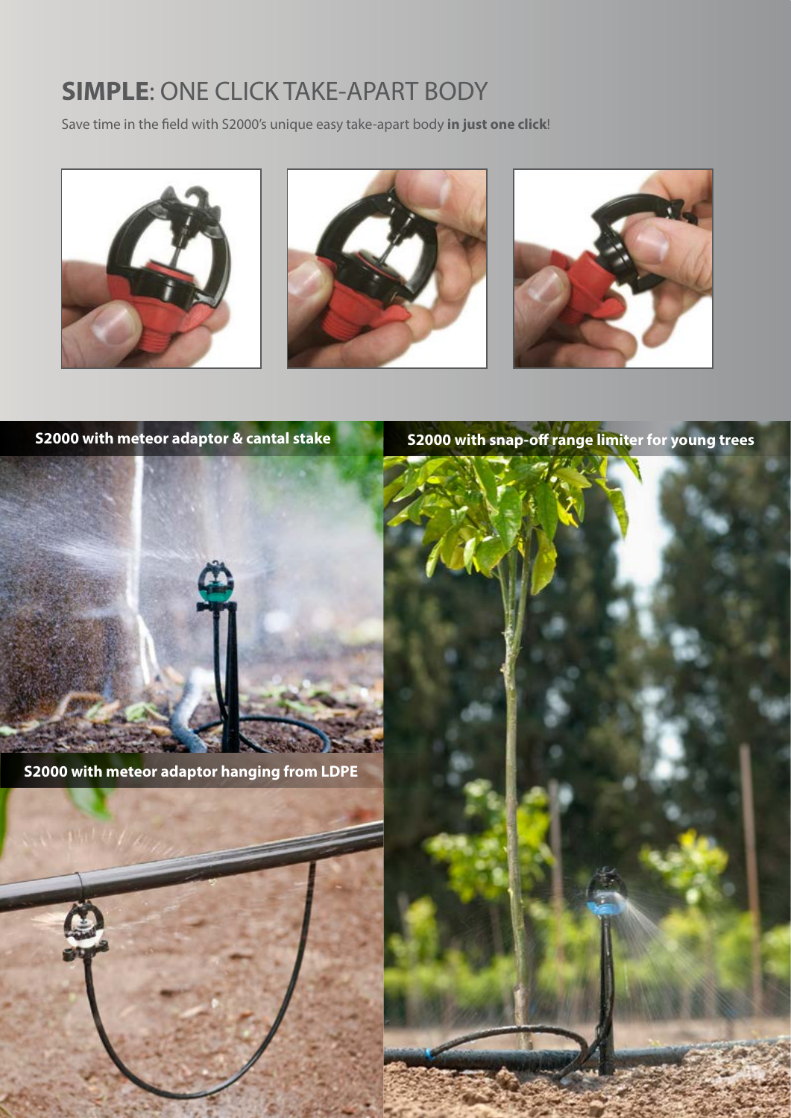#### **SIMPLE**: ONE CLICK TAKE-APART BODY

Save time in the field with S2000's unique easy take-apart body **in just one click**!







**S2000 with meteor adaptor & cantal stake S2000 with snap-off range limiter for young trees**



**S2000 with meteor adaptor hanging from LDPE**



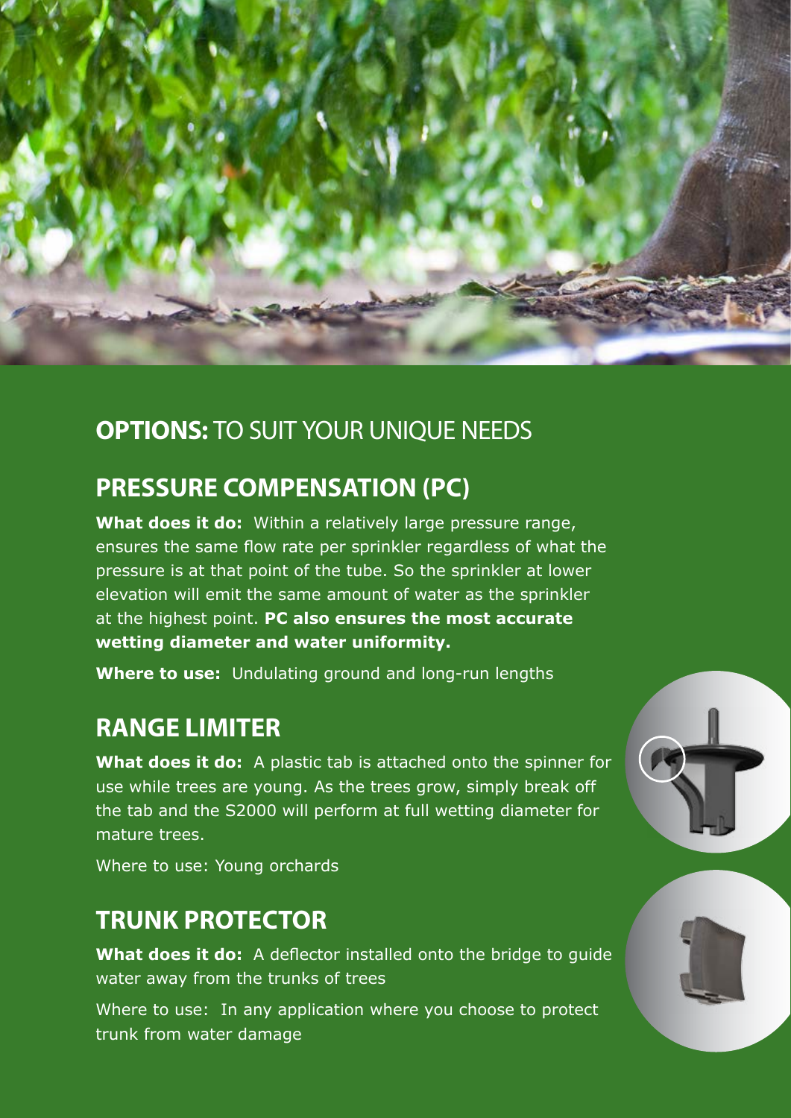

#### **OPTIONS:** TO SUIT YOUR UNIQUE NEEDS

#### **PRESSURE COMPENSATION (PC)**

**What does it do:** Within a relatively large pressure range, ensures the same flow rate per sprinkler regardless of what the pressure is at that point of the tube. So the sprinkler at lower elevation will emit the same amount of water as the sprinkler at the highest point. **PC also ensures the most accurate wetting diameter and water uniformity.**

**Where to use:** Undulating ground and long-run lengths

#### **RANGE LIMITER**

**What does it do:**A plastic tab is attached onto the spinner for use while trees are young. As the trees grow, simply break off the tab and the S2000 will perform at full wetting diameter for mature trees.

Where to use: Young orchards

#### **TRUNK PROTECTOR**

**What does it do:** A deflector installed onto the bridge to guide water away from the trunks of trees

Where to use: In any application where you choose to protect trunk from water damage



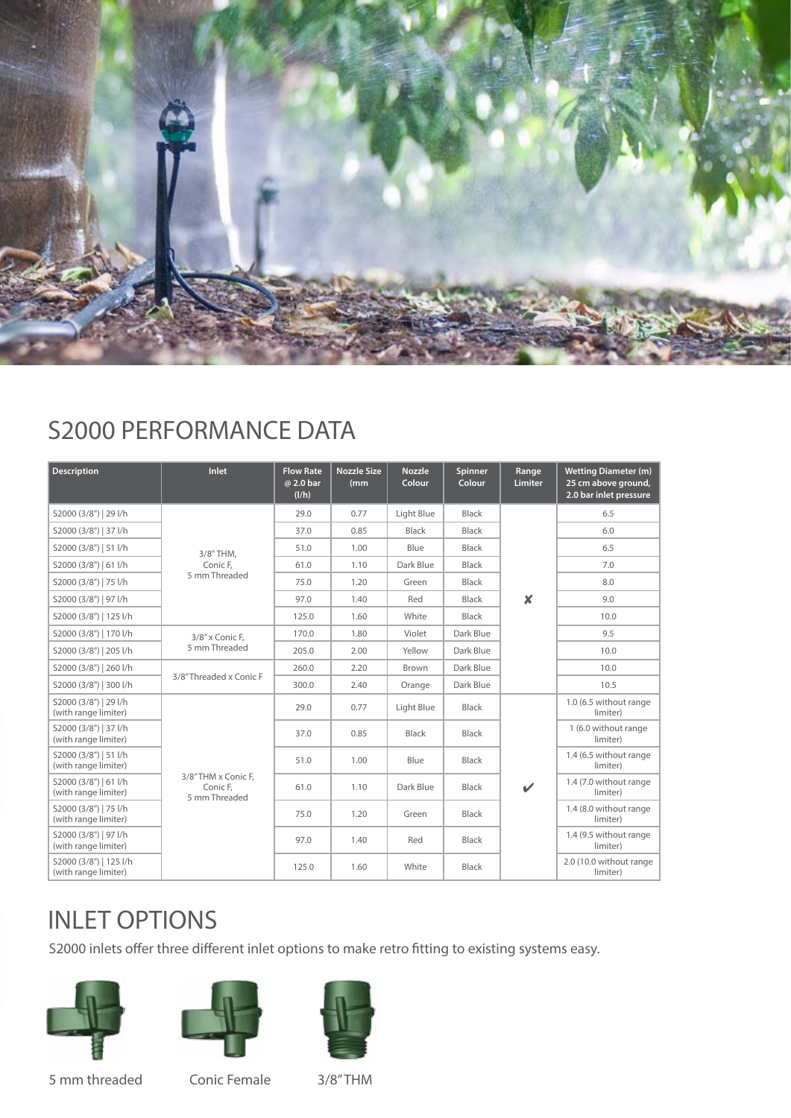

#### S2000 PERFORMANCE DATA

| <b>Description</b>                             | Inlet                                           | <b>Flow Rate</b><br>@ 2.0 bar<br>(I/h) | <b>Nozzle Size</b><br>(mm) | <b>Nozzle</b><br>Colour | Spinner<br>Colour | Range<br>Limiter         | <b>Wetting Diameter (m)</b><br>25 cm above ground,<br>2.0 bar inlet pressure |
|------------------------------------------------|-------------------------------------------------|----------------------------------------|----------------------------|-------------------------|-------------------|--------------------------|------------------------------------------------------------------------------|
| S2000 (3/8")   29 l/h                          |                                                 | 29.0                                   | 0.77                       | Light Blue              | Black             | $\boldsymbol{x}$         | 6.5                                                                          |
| S2000 (3/8")   37 l/h                          | 3/8" THM.<br>Conic F,<br>5 mm Threaded          | 37.0                                   | 0.85                       | <b>Black</b>            | <b>Black</b>      |                          | 6.0                                                                          |
| S2000 (3/8")   51 l/h                          |                                                 | 51.0                                   | 1.00                       | Blue                    | <b>Black</b>      |                          | 6.5                                                                          |
| S2000 (3/8")   61 l/h                          |                                                 | 61.0                                   | 1.10                       | Dark Blue               | <b>Black</b>      |                          | 7.0                                                                          |
| S2000 (3/8")   75 l/h                          |                                                 | 75.0                                   | 1.20                       | Green                   | <b>Black</b>      |                          | 8.0                                                                          |
| S2000 (3/8")   97 l/h                          |                                                 | 97.0                                   | 1.40                       | Red                     | <b>Black</b>      |                          | 9.0                                                                          |
| S2000 (3/8")   125 l/h                         |                                                 | 125.0                                  | 1.60                       | White                   | Black             |                          | 10.0                                                                         |
| S2000 (3/8")   170 l/h                         | 3/8" x Conic F,                                 | 170.0                                  | 1.80                       | Violet                  | Dark Blue         |                          | 9.5                                                                          |
| S2000 (3/8")   205 l/h                         | 5 mm Threaded                                   | 205.0                                  | 2.00                       | Yellow                  | Dark Blue         |                          | 10.0                                                                         |
| S2000 (3/8")   260 l/h                         |                                                 | 260.0                                  | 2.20                       | Brown                   | Dark Blue         |                          | 10.0                                                                         |
| S2000 (3/8")   300 l/h                         | 3/8"Threaded x Conic F                          | 300.0                                  | 2.40                       | Orange                  | Dark Blue         |                          | 10.5                                                                         |
| S2000 (3/8")   29 l/h<br>(with range limiter)  |                                                 | 29.0                                   | 0.77                       | Light Blue              | <b>Black</b>      | $\overline{\mathscr{L}}$ | 1.0 (6.5 without range<br>limiter)                                           |
| S2000 (3/8")   37 l/h<br>(with range limiter)  | 3/8"THM x Conic F.<br>Conic F.<br>5 mm Threaded | 37.0                                   | 0.85                       | Black                   | Black             |                          | 1 (6.0 without range<br>limiter)                                             |
| S2000 (3/8")   51 l/h<br>(with range limiter)  |                                                 | 51.0                                   | 1.00                       | Blue                    | Black             |                          | 1.4 (6.5 without range<br>limiter)                                           |
| S2000 (3/8")   61 l/h<br>(with range limiter)  |                                                 | 61.0                                   | 1.10                       | Dark Blue               | <b>Black</b>      |                          | 1.4 (7.0 without range<br>limiter)                                           |
| S2000 (3/8")   75 l/h<br>(with range limiter)  |                                                 | 75.0                                   | 1.20                       | Green                   | Black             |                          | 1.4 (8.0 without range<br>limiter)                                           |
| S2000 (3/8")   97 l/h<br>(with range limiter)  |                                                 | 97.0                                   | 1.40                       | Red                     | <b>Black</b>      |                          | 1.4 (9.5 without range<br>limiter)                                           |
| S2000 (3/8")   125 l/h<br>(with range limiter) |                                                 | 125.0                                  | 1.60                       | White                   | <b>Black</b>      |                          | 2.0 (10.0 without range<br>limiter)                                          |

#### INLET OPTIONS

S2000 inlets offer three different inlet options to make retro fitting to existing systems easy.







5 mm threaded Conic Female 3/8" THM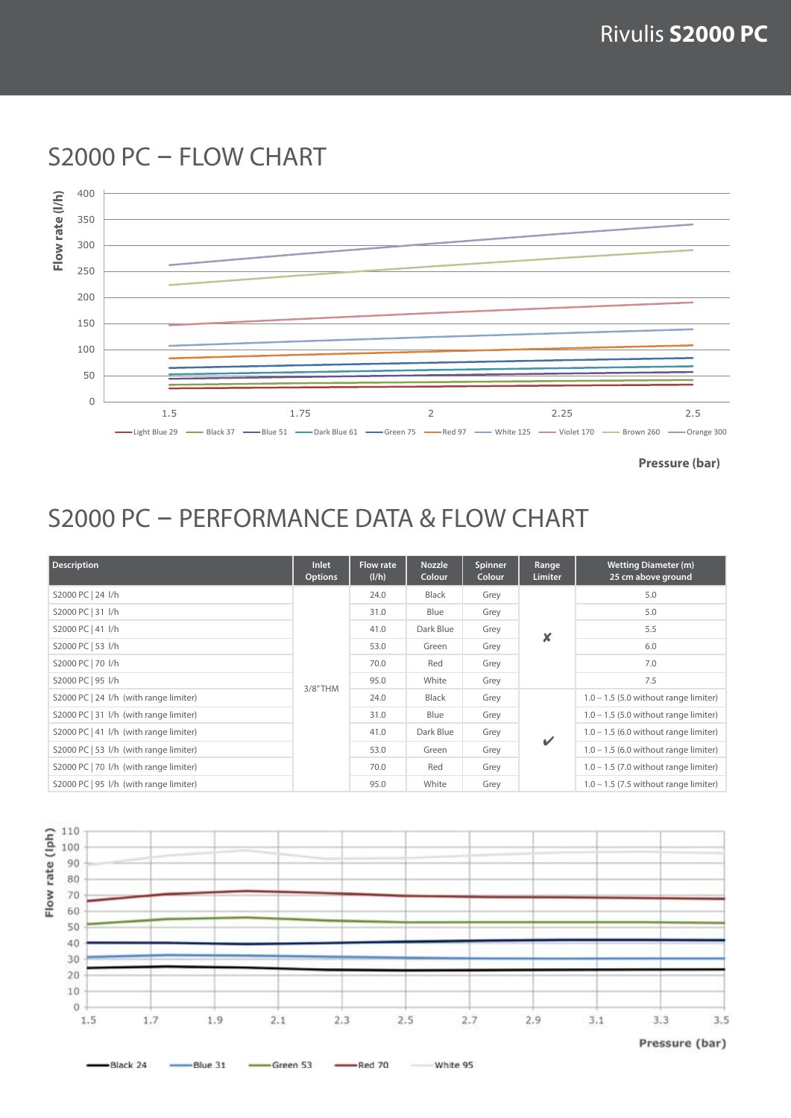

S2000 PC - FLOW CHART

**Pressure (bar)**

#### S2000 PC - PERFORMANCE DATA & FLOW CHART

| <b>Description</b>                     | Inlet<br><b>Options</b> | <b>Flow rate</b><br>(I/h) | <b>Nozzle</b><br>Colour | Spinner<br>Colour | Range<br>Limiter | <b>Wetting Diameter (m)</b><br>25 cm above ground |
|----------------------------------------|-------------------------|---------------------------|-------------------------|-------------------|------------------|---------------------------------------------------|
| S2000 PC   24 l/h                      | $3/8"$ THM              | 24.0                      | <b>Black</b>            | Grey              | x                | 5.0                                               |
| S2000 PC   31 l/h                      |                         | 31.0                      | Blue                    | Grey              |                  | 5.0                                               |
| S2000 PC   41 l/h                      |                         | 41.0                      | Dark Blue               | Grey              |                  | 5.5                                               |
| S2000 PC   53 l/h                      |                         | 53.0                      | Green                   | Grey              |                  | 6.0                                               |
| S2000 PC   70 I/h                      |                         | 70.0                      | Red                     | Grey              |                  | 7.0                                               |
| S2000 PC   95 l/h                      |                         | 95.0                      | White                   | Grey              |                  | 7.5                                               |
| S2000 PC   24 I/h (with range limiter) |                         | 24.0                      | <b>Black</b>            | Grey              | $\mathbf{v}$     | $1.0 - 1.5$ (5.0 without range limiter)           |
| S2000 PC   31 I/h (with range limiter) |                         | 31.0                      | Blue                    | Grey              |                  | $1.0 - 1.5$ (5.0 without range limiter)           |
| S2000 PC   41  /h (with range limiter) |                         | 41.0                      | Dark Blue               | Grey              |                  | $1.0 - 1.5$ (6.0 without range limiter)           |
| S2000 PC   53 I/h (with range limiter) |                         | 53.0                      | Green                   | Grey              |                  | $1.0 - 1.5$ (6.0 without range limiter)           |
| S2000 PC   70 I/h (with range limiter) |                         | 70.0                      | Red                     | Grey              |                  | $1.0 - 1.5$ (7.0 without range limiter)           |
| S2000 PC   95 I/h (with range limiter) |                         | 95.0                      | White                   | Grey              |                  | $1.0 - 1.5$ (7.5 without range limiter)           |

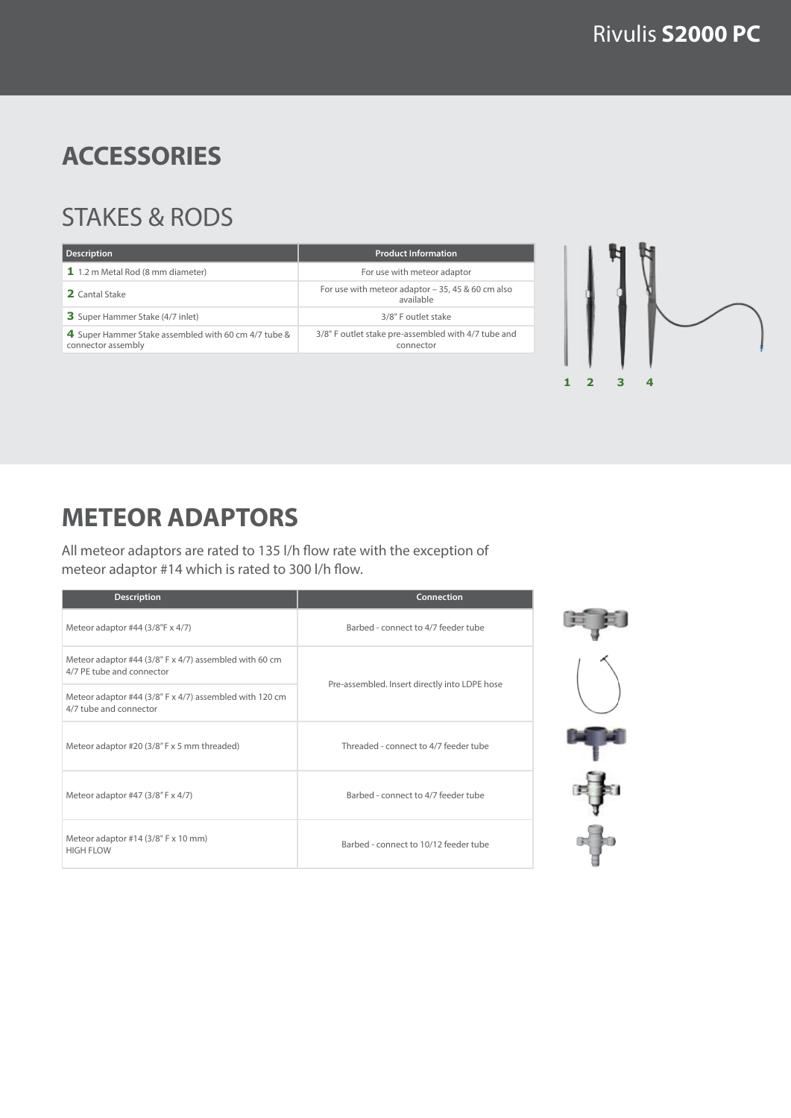$1 \t2 \t3$ 

#### **ACCESSORIES**

#### STAKES & RODS

| <b>Product Information</b>                                       |
|------------------------------------------------------------------|
| For use with meteor adaptor                                      |
| For use with meteor adaptor $-35$ , 45 & 60 cm also<br>available |
| 3/8" F outlet stake                                              |
| 3/8" F outlet stake pre-assembled with 4/7 tube and<br>connector |
|                                                                  |



All meteor adaptors are rated to 135 l/h flow rate with the exception of meteor adaptor #14 which is rated to 300 l/h flow.

| <b>Description</b>                                                                  | <b>Connection</b>                             |  |
|-------------------------------------------------------------------------------------|-----------------------------------------------|--|
| Meteor adaptor #44 (3/8"F x 4/7)                                                    | Barbed - connect to 4/7 feeder tube           |  |
| Meteor adaptor #44 (3/8" F x 4/7) assembled with 60 cm<br>4/7 PE tube and connector |                                               |  |
| Meteor adaptor #44 (3/8" F x 4/7) assembled with 120 cm<br>4/7 tube and connector   | Pre-assembled. Insert directly into LDPE hose |  |
| Meteor adaptor #20 (3/8" F x 5 mm threaded)                                         | Threaded - connect to 4/7 feeder tube         |  |
| Meteor adaptor #47 (3/8" F x 4/7)                                                   | Barbed - connect to 4/7 feeder tube           |  |
| Meteor adaptor #14 (3/8" F x 10 mm)<br>HIGH FLOW                                    | Barbed - connect to 10/12 feeder tube         |  |